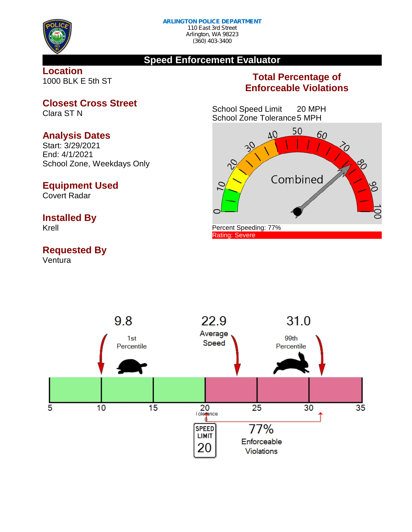

## **Speed Enforcement Evaluator**

**Location** 1000 BLK E 5th ST

# **Total Percentage of Enforceable Violations**

School Speed Limit 20 MPH School Zone Tolerance5 MPH



**Closest Cross Street**

Clara ST N

# **Analysis Dates**

Start: 3/29/2021 End: 4/1/2021 School Zone, Weekdays Only

### **Equipment Used**

Covert Radar

## **Installed By**

Krell

# **Requested By**

Ventura